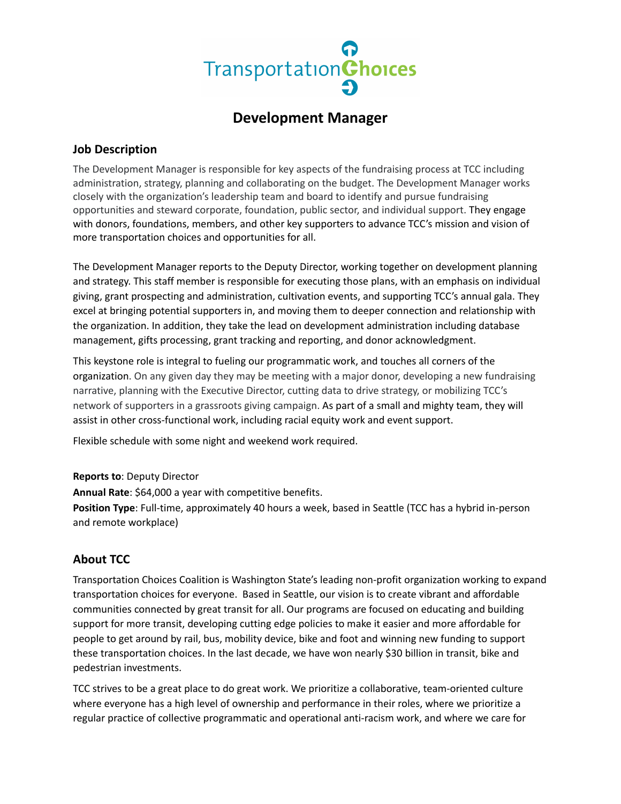

# **Development Manager**

# **Job Description**

The Development Manager is responsible for key aspects of the fundraising process at TCC including administration, strategy, planning and collaborating on the budget. The Development Manager works closely with the organization's leadership team and board to identify and pursue fundraising opportunities and steward corporate, foundation, public sector, and individual support. They engage with donors, foundations, members, and other key supporters to advance TCC's mission and vision of more transportation choices and opportunities for all.

The Development Manager reports to the Deputy Director, working together on development planning and strategy. This staff member is responsible for executing those plans, with an emphasis on individual giving, grant prospecting and administration, cultivation events, and supporting TCC's annual gala. They excel at bringing potential supporters in, and moving them to deeper connection and relationship with the organization. In addition, they take the lead on development administration including database management, gifts processing, grant tracking and reporting, and donor acknowledgment.

This keystone role is integral to fueling our programmatic work, and touches all corners of the organization. On any given day they may be meeting with a major donor, developing a new fundraising narrative, planning with the Executive Director, cutting data to drive strategy, or mobilizing TCC's network of supporters in a grassroots giving campaign. As part of a small and mighty team, they will assist in other cross-functional work, including racial equity work and event support.

Flexible schedule with some night and weekend work required.

**Reports to**: Deputy Director

**Annual Rate**: \$64,000 a year with competitive benefits.

**Position Type**: Full-time, approximately 40 hours a week, based in Seattle (TCC has a hybrid in-person and remote workplace)

# **About TCC**

Transportation Choices Coalition is Washington State's leading non-profit organization working to expand transportation choices for everyone. Based in Seattle, our vision is to create vibrant and affordable communities connected by great transit for all. Our programs are focused on educating and building support for more transit, developing cutting edge policies to make it easier and more affordable for people to get around by rail, bus, mobility device, bike and foot and winning new funding to support these transportation choices. In the last decade, we have won nearly \$30 billion in transit, bike and pedestrian investments.

TCC strives to be a great place to do great work. We prioritize a collaborative, team-oriented culture where everyone has a high level of ownership and performance in their roles, where we prioritize a regular practice of collective programmatic and operational anti-racism work, and where we care for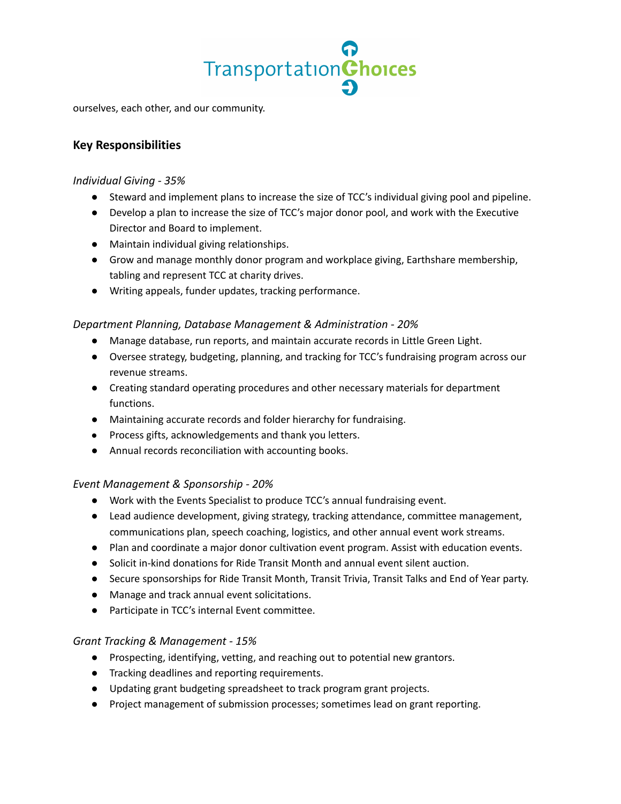

ourselves, each other, and our community.

# **Key Responsibilities**

#### *Individual Giving - 35%*

- Steward and implement plans to increase the size of TCC's individual giving pool and pipeline.
- Develop a plan to increase the size of TCC's major donor pool, and work with the Executive Director and Board to implement.
- Maintain individual giving relationships.
- Grow and manage monthly donor program and workplace giving, Earthshare membership, tabling and represent TCC at charity drives.
- Writing appeals, funder updates, tracking performance.

#### *Department Planning, Database Management & Administration - 20%*

- Manage database, run reports, and maintain accurate records in Little Green Light.
- Oversee strategy, budgeting, planning, and tracking for TCC's fundraising program across our revenue streams.
- Creating standard operating procedures and other necessary materials for department functions.
- Maintaining accurate records and folder hierarchy for fundraising.
- Process gifts, acknowledgements and thank you letters.
- Annual records reconciliation with accounting books.

#### *Event Management & Sponsorship - 20%*

- Work with the Events Specialist to produce TCC's annual fundraising event.
- Lead audience development, giving strategy, tracking attendance, committee management, communications plan, speech coaching, logistics, and other annual event work streams.
- Plan and coordinate a major donor cultivation event program. Assist with education events.
- Solicit in-kind donations for Ride Transit Month and annual event silent auction.
- Secure sponsorships for Ride Transit Month, Transit Trivia, Transit Talks and End of Year party.
- Manage and track annual event solicitations.
- Participate in TCC's internal Event committee.

#### *Grant Tracking & Management - 15%*

- Prospecting, identifying, vetting, and reaching out to potential new grantors.
- Tracking deadlines and reporting requirements.
- Updating grant budgeting spreadsheet to track program grant projects.
- Project management of submission processes; sometimes lead on grant reporting.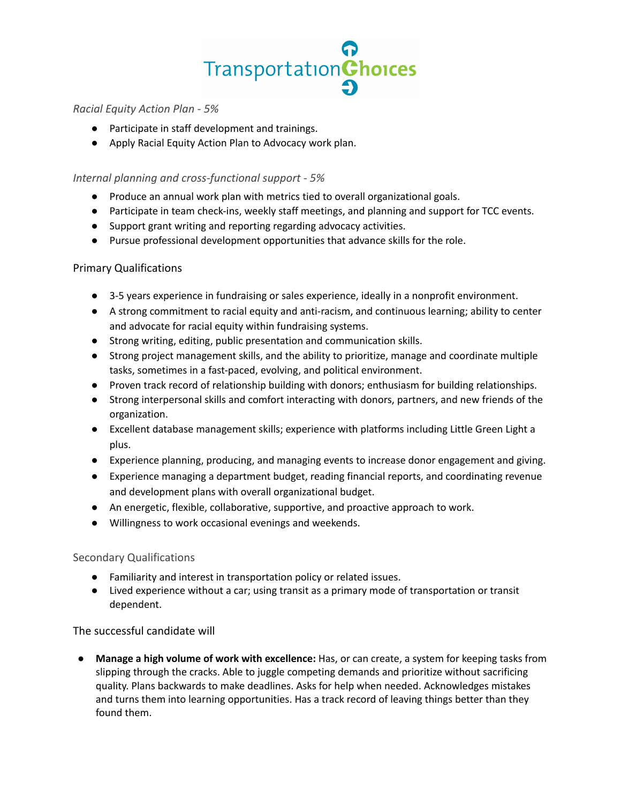

#### *Racial Equity Action Plan - 5%*

- Participate in staff development and trainings.
- Apply Racial Equity Action Plan to Advocacy work plan.

#### *Internal planning and cross-functional support - 5%*

- Produce an annual work plan with metrics tied to overall organizational goals.
- Participate in team check-ins, weekly staff meetings, and planning and support for TCC events.
- Support grant writing and reporting regarding advocacy activities.
- Pursue professional development opportunities that advance skills for the role.

#### Primary Qualifications

- 3-5 years experience in fundraising or sales experience, ideally in a nonprofit environment.
- A strong commitment to racial equity and anti-racism, and continuous learning; ability to center and advocate for racial equity within fundraising systems.
- Strong writing, editing, public presentation and communication skills.
- Strong project management skills, and the ability to prioritize, manage and coordinate multiple tasks, sometimes in a fast-paced, evolving, and political environment.
- Proven track record of relationship building with donors; enthusiasm for building relationships.
- Strong interpersonal skills and comfort interacting with donors, partners, and new friends of the organization.
- Excellent database management skills; experience with platforms including Little Green Light a plus.
- Experience planning, producing, and managing events to increase donor engagement and giving.
- Experience managing a department budget, reading financial reports, and coordinating revenue and development plans with overall organizational budget.
- An energetic, flexible, collaborative, supportive, and proactive approach to work.
- Willingness to work occasional evenings and weekends.

#### Secondary Qualifications

- Familiarity and interest in transportation policy or related issues.
- Lived experience without a car; using transit as a primary mode of transportation or transit dependent.

#### The successful candidate will

● **Manage a high volume of work with excellence:** Has, or can create, a system for keeping tasks from slipping through the cracks. Able to juggle competing demands and prioritize without sacrificing quality. Plans backwards to make deadlines. Asks for help when needed. Acknowledges mistakes and turns them into learning opportunities. Has a track record of leaving things better than they found them.